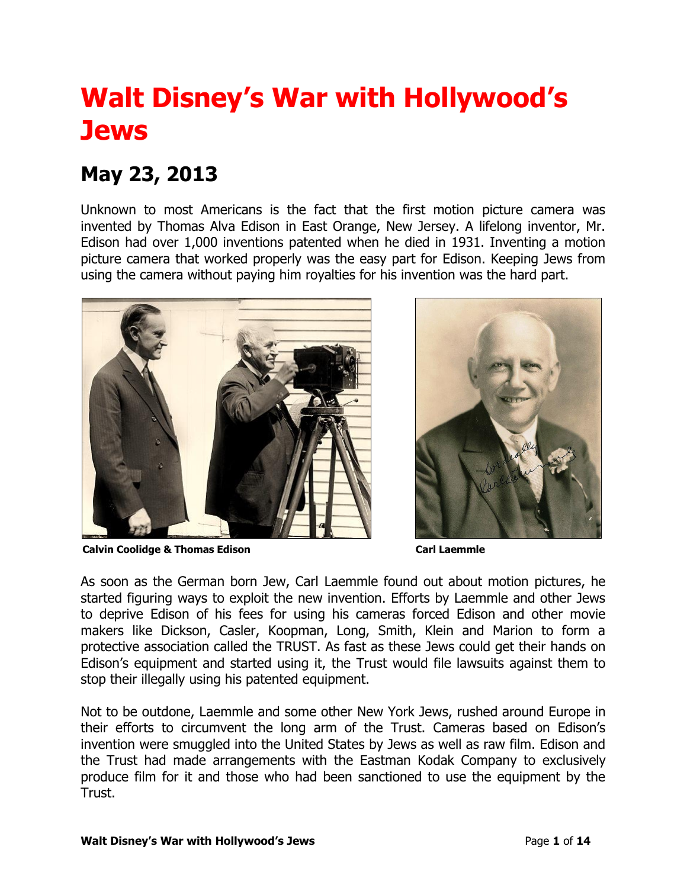## **Walt Disney's War with Hollywood's Jews**

## **May 23, 2013**

Unknown to most Americans is the fact that the first motion picture camera was invented by Thomas Alva Edison in East Orange, New Jersey. A lifelong inventor, Mr. Edison had over 1,000 inventions patented when he died in 1931. Inventing a motion picture camera that worked properly was the easy part for Edison. Keeping Jews from using the camera without paying him royalties for his invention was the hard part.



**Calvin Coolidge & Thomas Edison Carl Laemmle**



As soon as the German born Jew, Carl Laemmle found out about motion pictures, he started figuring ways to exploit the new invention. Efforts by Laemmle and other Jews to deprive Edison of his fees for using his cameras forced Edison and other movie makers like Dickson, Casler, Koopman, Long, Smith, Klein and Marion to form a protective association called the TRUST. As fast as these Jews could get their hands on Edison's equipment and started using it, the Trust would file lawsuits against them to stop their illegally using his patented equipment.

Not to be outdone, Laemmle and some other New York Jews, rushed around Europe in their efforts to circumvent the long arm of the Trust. Cameras based on Edison's invention were smuggled into the United States by Jews as well as raw film. Edison and the Trust had made arrangements with the Eastman Kodak Company to exclusively produce film for it and those who had been sanctioned to use the equipment by the Trust.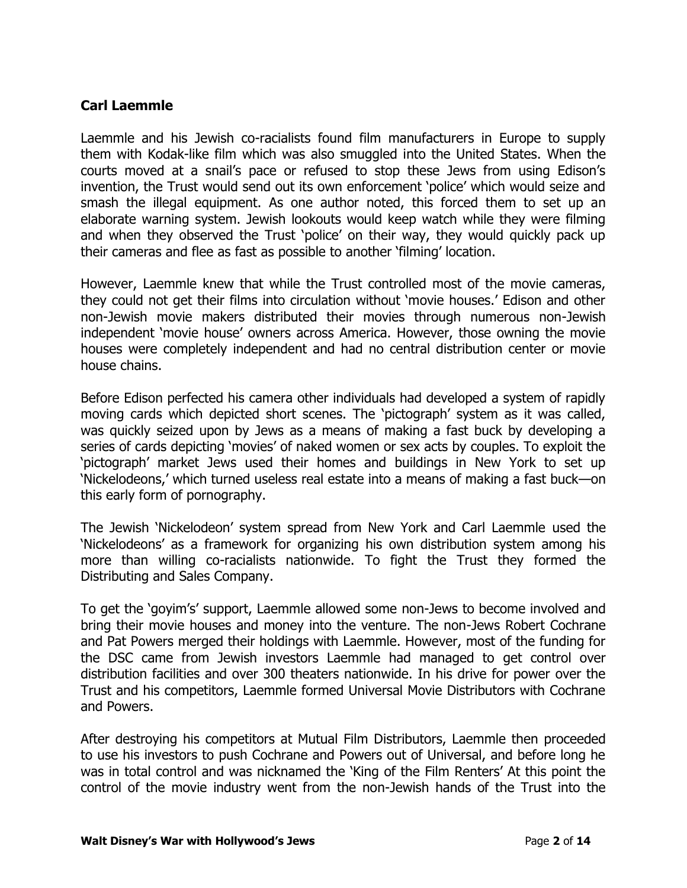## **Carl Laemmle**

Laemmle and his Jewish co-racialists found film manufacturers in Europe to supply them with Kodak-like film which was also smuggled into the United States. When the courts moved at a snail's pace or refused to stop these Jews from using Edison's invention, the Trust would send out its own enforcement 'police' which would seize and smash the illegal equipment. As one author noted, this forced them to set up an elaborate warning system. Jewish lookouts would keep watch while they were filming and when they observed the Trust 'police' on their way, they would quickly pack up their cameras and flee as fast as possible to another 'filming' location.

However, Laemmle knew that while the Trust controlled most of the movie cameras, they could not get their films into circulation without 'movie houses.' Edison and other non-Jewish movie makers distributed their movies through numerous non-Jewish independent 'movie house' owners across America. However, those owning the movie houses were completely independent and had no central distribution center or movie house chains.

Before Edison perfected his camera other individuals had developed a system of rapidly moving cards which depicted short scenes. The 'pictograph' system as it was called, was quickly seized upon by Jews as a means of making a fast buck by developing a series of cards depicting 'movies' of naked women or sex acts by couples. To exploit the 'pictograph' market Jews used their homes and buildings in New York to set up 'Nickelodeons,' which turned useless real estate into a means of making a fast buck—on this early form of pornography.

The Jewish 'Nickelodeon' system spread from New York and Carl Laemmle used the 'Nickelodeons' as a framework for organizing his own distribution system among his more than willing co-racialists nationwide. To fight the Trust they formed the Distributing and Sales Company.

To get the 'goyim's' support, Laemmle allowed some non-Jews to become involved and bring their movie houses and money into the venture. The non-Jews Robert Cochrane and Pat Powers merged their holdings with Laemmle. However, most of the funding for the DSC came from Jewish investors Laemmle had managed to get control over distribution facilities and over 300 theaters nationwide. In his drive for power over the Trust and his competitors, Laemmle formed Universal Movie Distributors with Cochrane and Powers.

After destroying his competitors at Mutual Film Distributors, Laemmle then proceeded to use his investors to push Cochrane and Powers out of Universal, and before long he was in total control and was nicknamed the 'King of the Film Renters' At this point the control of the movie industry went from the non-Jewish hands of the Trust into the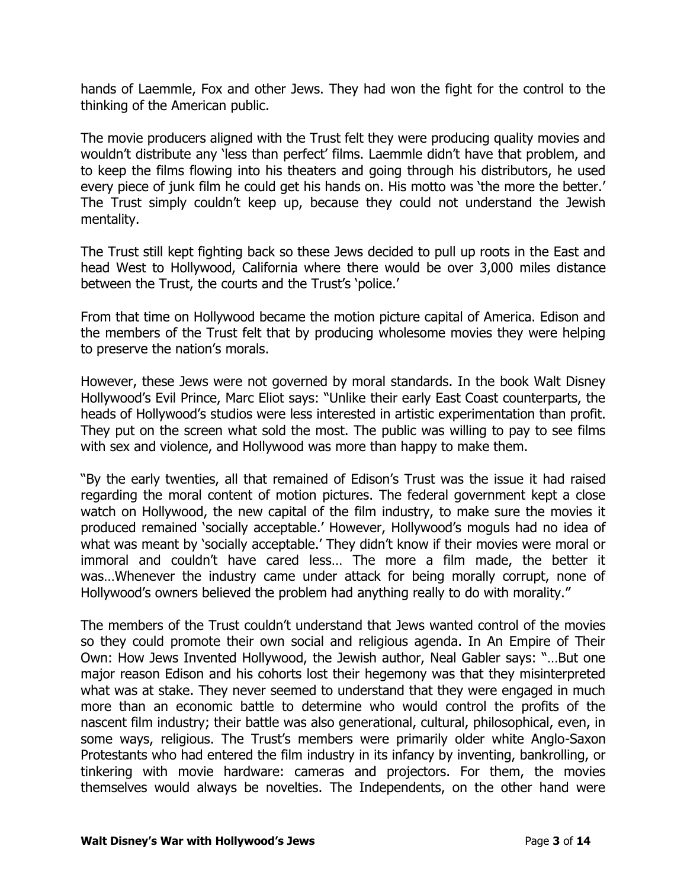hands of Laemmle, Fox and other Jews. They had won the fight for the control to the thinking of the American public.

The movie producers aligned with the Trust felt they were producing quality movies and wouldn't distribute any 'less than perfect' films. Laemmle didn't have that problem, and to keep the films flowing into his theaters and going through his distributors, he used every piece of junk film he could get his hands on. His motto was 'the more the better.' The Trust simply couldn't keep up, because they could not understand the Jewish mentality.

The Trust still kept fighting back so these Jews decided to pull up roots in the East and head West to Hollywood, California where there would be over 3,000 miles distance between the Trust, the courts and the Trust's 'police.'

From that time on Hollywood became the motion picture capital of America. Edison and the members of the Trust felt that by producing wholesome movies they were helping to preserve the nation's morals.

However, these Jews were not governed by moral standards. In the book Walt Disney Hollywood's Evil Prince, Marc Eliot says: "Unlike their early East Coast counterparts, the heads of Hollywood's studios were less interested in artistic experimentation than profit. They put on the screen what sold the most. The public was willing to pay to see films with sex and violence, and Hollywood was more than happy to make them.

"By the early twenties, all that remained of Edison's Trust was the issue it had raised regarding the moral content of motion pictures. The federal government kept a close watch on Hollywood, the new capital of the film industry, to make sure the movies it produced remained 'socially acceptable.' However, Hollywood's moguls had no idea of what was meant by 'socially acceptable.' They didn't know if their movies were moral or immoral and couldn't have cared less… The more a film made, the better it was…Whenever the industry came under attack for being morally corrupt, none of Hollywood's owners believed the problem had anything really to do with morality."

The members of the Trust couldn't understand that Jews wanted control of the movies so they could promote their own social and religious agenda. In An Empire of Their Own: How Jews Invented Hollywood, the Jewish author, Neal Gabler says: "…But one major reason Edison and his cohorts lost their hegemony was that they misinterpreted what was at stake. They never seemed to understand that they were engaged in much more than an economic battle to determine who would control the profits of the nascent film industry; their battle was also generational, cultural, philosophical, even, in some ways, religious. The Trust's members were primarily older white Anglo-Saxon Protestants who had entered the film industry in its infancy by inventing, bankrolling, or tinkering with movie hardware: cameras and projectors. For them, the movies themselves would always be novelties. The Independents, on the other hand were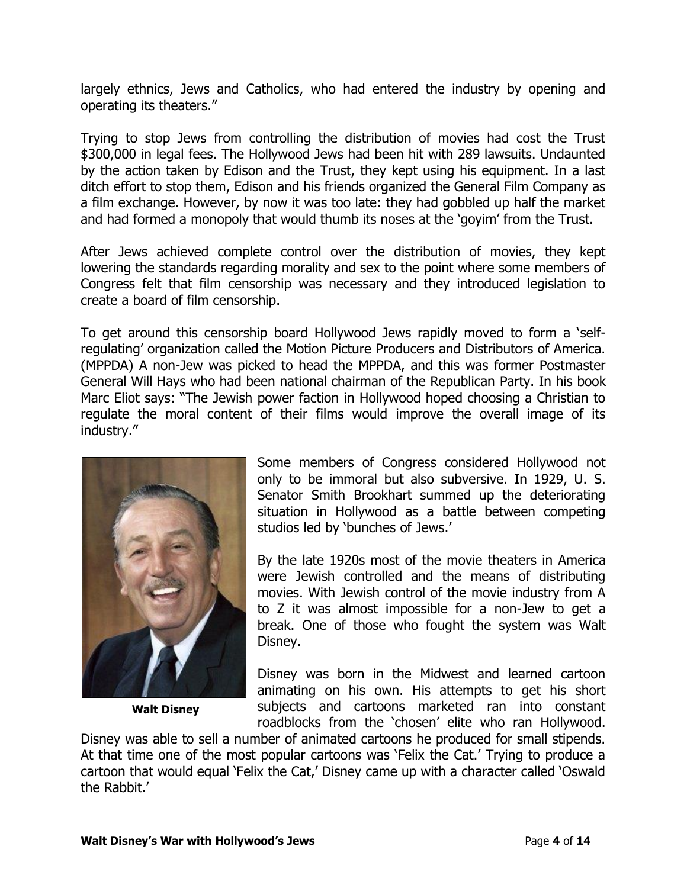largely ethnics, Jews and Catholics, who had entered the industry by opening and operating its theaters."

Trying to stop Jews from controlling the distribution of movies had cost the Trust \$300,000 in legal fees. The Hollywood Jews had been hit with 289 lawsuits. Undaunted by the action taken by Edison and the Trust, they kept using his equipment. In a last ditch effort to stop them, Edison and his friends organized the General Film Company as a film exchange. However, by now it was too late: they had gobbled up half the market and had formed a monopoly that would thumb its noses at the 'goyim' from the Trust.

After Jews achieved complete control over the distribution of movies, they kept lowering the standards regarding morality and sex to the point where some members of Congress felt that film censorship was necessary and they introduced legislation to create a board of film censorship.

To get around this censorship board Hollywood Jews rapidly moved to form a 'selfregulating' organization called the Motion Picture Producers and Distributors of America. (MPPDA) A non-Jew was picked to head the MPPDA, and this was former Postmaster General Will Hays who had been national chairman of the Republican Party. In his book Marc Eliot says: "The Jewish power faction in Hollywood hoped choosing a Christian to regulate the moral content of their films would improve the overall image of its industry."



**Walt Disney**

Some members of Congress considered Hollywood not only to be immoral but also subversive. In 1929, U. S. Senator Smith Brookhart summed up the deteriorating situation in Hollywood as a battle between competing studios led by 'bunches of Jews.'

By the late 1920s most of the movie theaters in America were Jewish controlled and the means of distributing movies. With Jewish control of the movie industry from A to Z it was almost impossible for a non-Jew to get a break. One of those who fought the system was Walt Disney.

Disney was born in the Midwest and learned cartoon animating on his own. His attempts to get his short subjects and cartoons marketed ran into constant roadblocks from the 'chosen' elite who ran Hollywood.

Disney was able to sell a number of animated cartoons he produced for small stipends. At that time one of the most popular cartoons was 'Felix the Cat.' Trying to produce a cartoon that would equal 'Felix the Cat,' Disney came up with a character called 'Oswald the Rabbit.'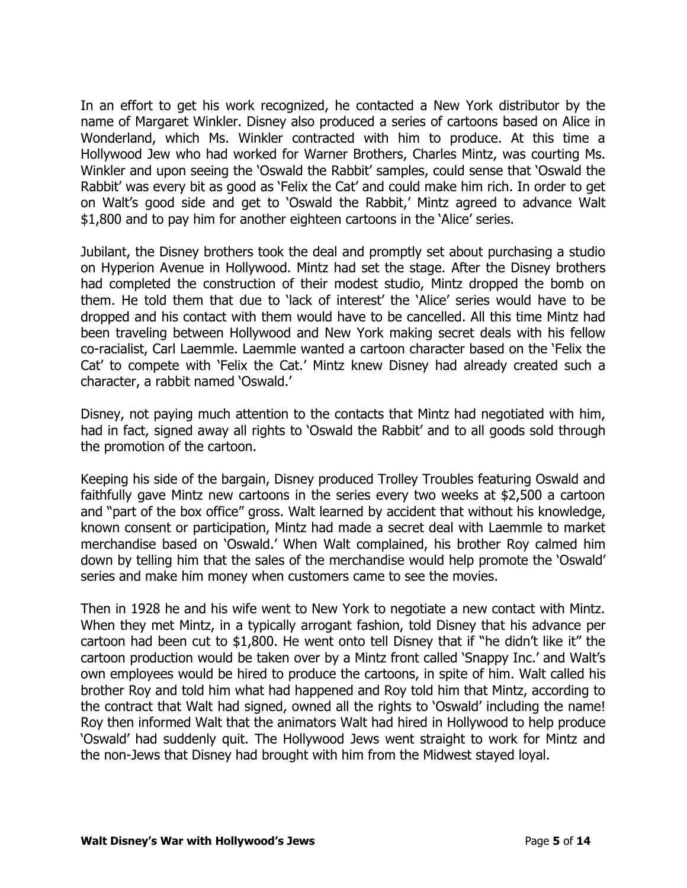In an effort to get his work recognized, he contacted a New York distributor by the name of Margaret Winkler. Disney also produced a series of cartoons based on Alice in Wonderland, which Ms. Winkler contracted with him to produce. At this time a Hollywood Jew who had worked for Warner Brothers, Charles Mintz, was courting Ms. Winkler and upon seeing the 'Oswald the Rabbit' samples, could sense that 'Oswald the Rabbit' was every bit as good as 'Felix the Cat' and could make him rich. In order to get on Walt's good side and get to 'Oswald the Rabbit,' Mintz agreed to advance Walt \$1,800 and to pay him for another eighteen cartoons in the 'Alice' series.

Jubilant, the Disney brothers took the deal and promptly set about purchasing a studio on Hyperion Avenue in Hollywood. Mintz had set the stage. After the Disney brothers had completed the construction of their modest studio, Mintz dropped the bomb on them. He told them that due to 'lack of interest' the 'Alice' series would have to be dropped and his contact with them would have to be cancelled. All this time Mintz had been traveling between Hollywood and New York making secret deals with his fellow co-racialist, Carl Laemmle. Laemmle wanted a cartoon character based on the 'Felix the Cat' to compete with 'Felix the Cat.' Mintz knew Disney had already created such a character, a rabbit named 'Oswald.'

Disney, not paying much attention to the contacts that Mintz had negotiated with him, had in fact, signed away all rights to 'Oswald the Rabbit' and to all goods sold through the promotion of the cartoon.

Keeping his side of the bargain, Disney produced Trolley Troubles featuring Oswald and faithfully gave Mintz new cartoons in the series every two weeks at \$2,500 a cartoon and "part of the box office" gross. Walt learned by accident that without his knowledge, known consent or participation, Mintz had made a secret deal with Laemmle to market merchandise based on 'Oswald.' When Walt complained, his brother Roy calmed him down by telling him that the sales of the merchandise would help promote the 'Oswald' series and make him money when customers came to see the movies.

Then in 1928 he and his wife went to New York to negotiate a new contact with Mintz. When they met Mintz, in a typically arrogant fashion, told Disney that his advance per cartoon had been cut to \$1,800. He went onto tell Disney that if "he didn't like it" the cartoon production would be taken over by a Mintz front called 'Snappy Inc.' and Walt's own employees would be hired to produce the cartoons, in spite of him. Walt called his brother Roy and told him what had happened and Roy told him that Mintz, according to the contract that Walt had signed, owned all the rights to 'Oswald' including the name! Roy then informed Walt that the animators Walt had hired in Hollywood to help produce 'Oswald' had suddenly quit. The Hollywood Jews went straight to work for Mintz and the non-Jews that Disney had brought with him from the Midwest stayed loyal.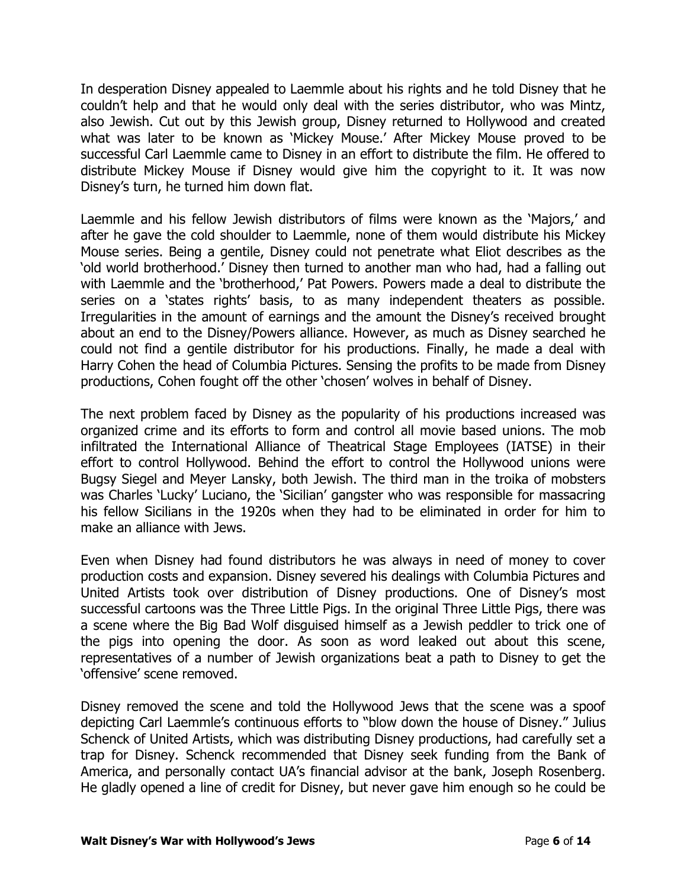In desperation Disney appealed to Laemmle about his rights and he told Disney that he couldn't help and that he would only deal with the series distributor, who was Mintz, also Jewish. Cut out by this Jewish group, Disney returned to Hollywood and created what was later to be known as 'Mickey Mouse.' After Mickey Mouse proved to be successful Carl Laemmle came to Disney in an effort to distribute the film. He offered to distribute Mickey Mouse if Disney would give him the copyright to it. It was now Disney's turn, he turned him down flat.

Laemmle and his fellow Jewish distributors of films were known as the 'Majors,' and after he gave the cold shoulder to Laemmle, none of them would distribute his Mickey Mouse series. Being a gentile, Disney could not penetrate what Eliot describes as the 'old world brotherhood.' Disney then turned to another man who had, had a falling out with Laemmle and the 'brotherhood,' Pat Powers. Powers made a deal to distribute the series on a 'states rights' basis, to as many independent theaters as possible. Irregularities in the amount of earnings and the amount the Disney's received brought about an end to the Disney/Powers alliance. However, as much as Disney searched he could not find a gentile distributor for his productions. Finally, he made a deal with Harry Cohen the head of Columbia Pictures. Sensing the profits to be made from Disney productions, Cohen fought off the other 'chosen' wolves in behalf of Disney.

The next problem faced by Disney as the popularity of his productions increased was organized crime and its efforts to form and control all movie based unions. The mob infiltrated the International Alliance of Theatrical Stage Employees (IATSE) in their effort to control Hollywood. Behind the effort to control the Hollywood unions were Bugsy Siegel and Meyer Lansky, both Jewish. The third man in the troika of mobsters was Charles 'Lucky' Luciano, the 'Sicilian' gangster who was responsible for massacring his fellow Sicilians in the 1920s when they had to be eliminated in order for him to make an alliance with Jews.

Even when Disney had found distributors he was always in need of money to cover production costs and expansion. Disney severed his dealings with Columbia Pictures and United Artists took over distribution of Disney productions. One of Disney's most successful cartoons was the Three Little Pigs. In the original Three Little Pigs, there was a scene where the Big Bad Wolf disguised himself as a Jewish peddler to trick one of the pigs into opening the door. As soon as word leaked out about this scene, representatives of a number of Jewish organizations beat a path to Disney to get the 'offensive' scene removed.

Disney removed the scene and told the Hollywood Jews that the scene was a spoof depicting Carl Laemmle's continuous efforts to "blow down the house of Disney." Julius Schenck of United Artists, which was distributing Disney productions, had carefully set a trap for Disney. Schenck recommended that Disney seek funding from the Bank of America, and personally contact UA's financial advisor at the bank, Joseph Rosenberg. He gladly opened a line of credit for Disney, but never gave him enough so he could be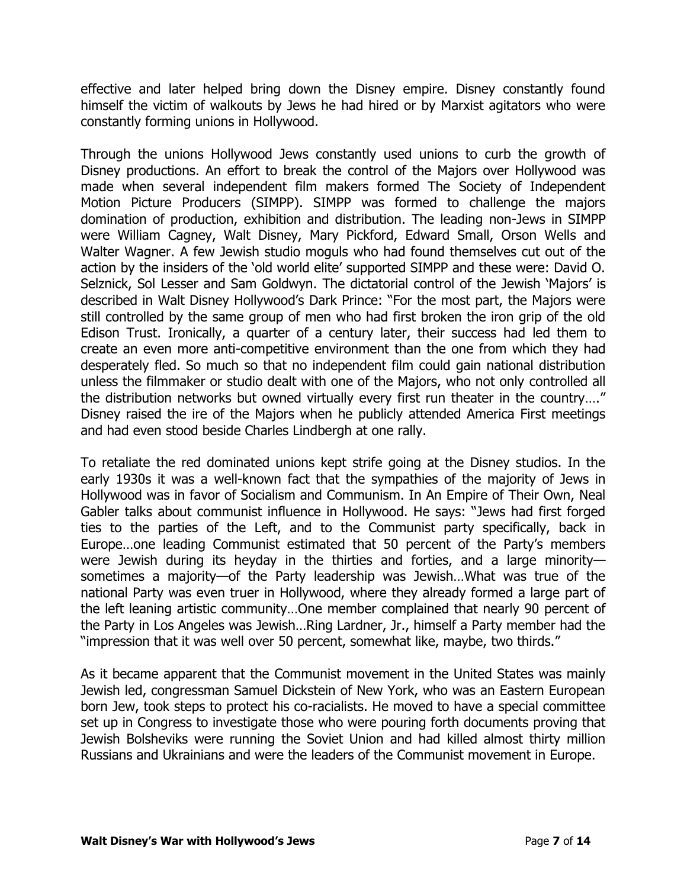effective and later helped bring down the Disney empire. Disney constantly found himself the victim of walkouts by Jews he had hired or by Marxist agitators who were constantly forming unions in Hollywood.

Through the unions Hollywood Jews constantly used unions to curb the growth of Disney productions. An effort to break the control of the Majors over Hollywood was made when several independent film makers formed The Society of Independent Motion Picture Producers (SIMPP). SIMPP was formed to challenge the majors domination of production, exhibition and distribution. The leading non-Jews in SIMPP were William Cagney, Walt Disney, Mary Pickford, Edward Small, Orson Wells and Walter Wagner. A few Jewish studio moguls who had found themselves cut out of the action by the insiders of the 'old world elite' supported SIMPP and these were: David O. Selznick, Sol Lesser and Sam Goldwyn. The dictatorial control of the Jewish 'Majors' is described in Walt Disney Hollywood's Dark Prince: "For the most part, the Majors were still controlled by the same group of men who had first broken the iron grip of the old Edison Trust. Ironically, a quarter of a century later, their success had led them to create an even more anti-competitive environment than the one from which they had desperately fled. So much so that no independent film could gain national distribution unless the filmmaker or studio dealt with one of the Majors, who not only controlled all the distribution networks but owned virtually every first run theater in the country…." Disney raised the ire of the Majors when he publicly attended America First meetings and had even stood beside Charles Lindbergh at one rally.

To retaliate the red dominated unions kept strife going at the Disney studios. In the early 1930s it was a well-known fact that the sympathies of the majority of Jews in Hollywood was in favor of Socialism and Communism. In An Empire of Their Own, Neal Gabler talks about communist influence in Hollywood. He says: "Jews had first forged ties to the parties of the Left, and to the Communist party specifically, back in Europe…one leading Communist estimated that 50 percent of the Party's members were Jewish during its heyday in the thirties and forties, and a large minoritysometimes a majority—of the Party leadership was Jewish…What was true of the national Party was even truer in Hollywood, where they already formed a large part of the left leaning artistic community…One member complained that nearly 90 percent of the Party in Los Angeles was Jewish…Ring Lardner, Jr., himself a Party member had the "impression that it was well over 50 percent, somewhat like, maybe, two thirds."

As it became apparent that the Communist movement in the United States was mainly Jewish led, congressman Samuel Dickstein of New York, who was an Eastern European born Jew, took steps to protect his co-racialists. He moved to have a special committee set up in Congress to investigate those who were pouring forth documents proving that Jewish Bolsheviks were running the Soviet Union and had killed almost thirty million Russians and Ukrainians and were the leaders of the Communist movement in Europe.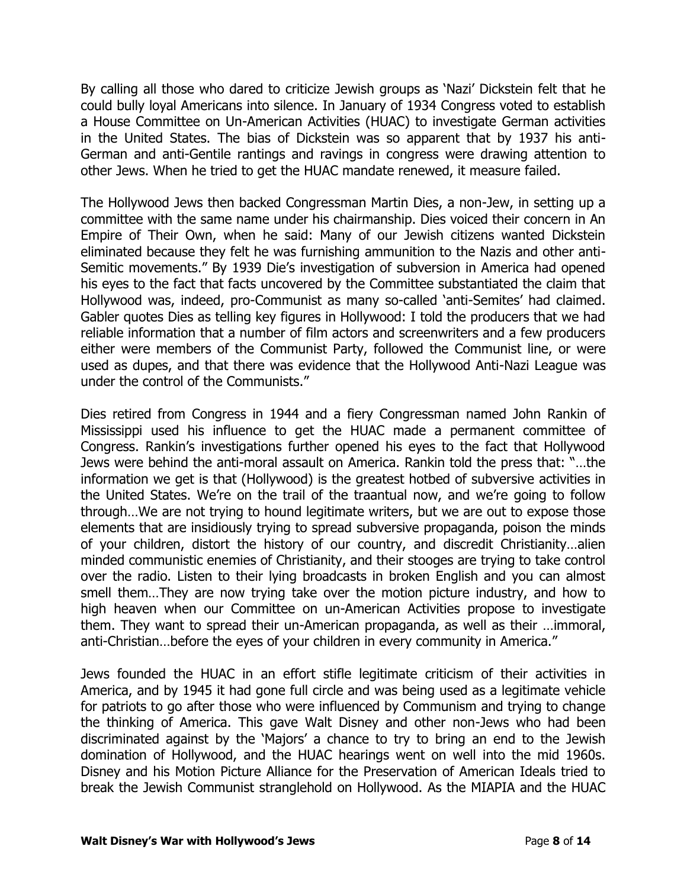By calling all those who dared to criticize Jewish groups as 'Nazi' Dickstein felt that he could bully loyal Americans into silence. In January of 1934 Congress voted to establish a House Committee on Un-American Activities (HUAC) to investigate German activities in the United States. The bias of Dickstein was so apparent that by 1937 his anti-German and anti-Gentile rantings and ravings in congress were drawing attention to other Jews. When he tried to get the HUAC mandate renewed, it measure failed.

The Hollywood Jews then backed Congressman Martin Dies, a non-Jew, in setting up a committee with the same name under his chairmanship. Dies voiced their concern in An Empire of Their Own, when he said: Many of our Jewish citizens wanted Dickstein eliminated because they felt he was furnishing ammunition to the Nazis and other anti-Semitic movements." By 1939 Die's investigation of subversion in America had opened his eyes to the fact that facts uncovered by the Committee substantiated the claim that Hollywood was, indeed, pro-Communist as many so-called 'anti-Semites' had claimed. Gabler quotes Dies as telling key figures in Hollywood: I told the producers that we had reliable information that a number of film actors and screenwriters and a few producers either were members of the Communist Party, followed the Communist line, or were used as dupes, and that there was evidence that the Hollywood Anti-Nazi League was under the control of the Communists."

Dies retired from Congress in 1944 and a fiery Congressman named John Rankin of Mississippi used his influence to get the HUAC made a permanent committee of Congress. Rankin's investigations further opened his eyes to the fact that Hollywood Jews were behind the anti-moral assault on America. Rankin told the press that: "…the information we get is that (Hollywood) is the greatest hotbed of subversive activities in the United States. We're on the trail of the traantual now, and we're going to follow through…We are not trying to hound legitimate writers, but we are out to expose those elements that are insidiously trying to spread subversive propaganda, poison the minds of your children, distort the history of our country, and discredit Christianity…alien minded communistic enemies of Christianity, and their stooges are trying to take control over the radio. Listen to their lying broadcasts in broken English and you can almost smell them…They are now trying take over the motion picture industry, and how to high heaven when our Committee on un-American Activities propose to investigate them. They want to spread their un-American propaganda, as well as their …immoral, anti-Christian…before the eyes of your children in every community in America."

Jews founded the HUAC in an effort stifle legitimate criticism of their activities in America, and by 1945 it had gone full circle and was being used as a legitimate vehicle for patriots to go after those who were influenced by Communism and trying to change the thinking of America. This gave Walt Disney and other non-Jews who had been discriminated against by the 'Majors' a chance to try to bring an end to the Jewish domination of Hollywood, and the HUAC hearings went on well into the mid 1960s. Disney and his Motion Picture Alliance for the Preservation of American Ideals tried to break the Jewish Communist stranglehold on Hollywood. As the MIAPIA and the HUAC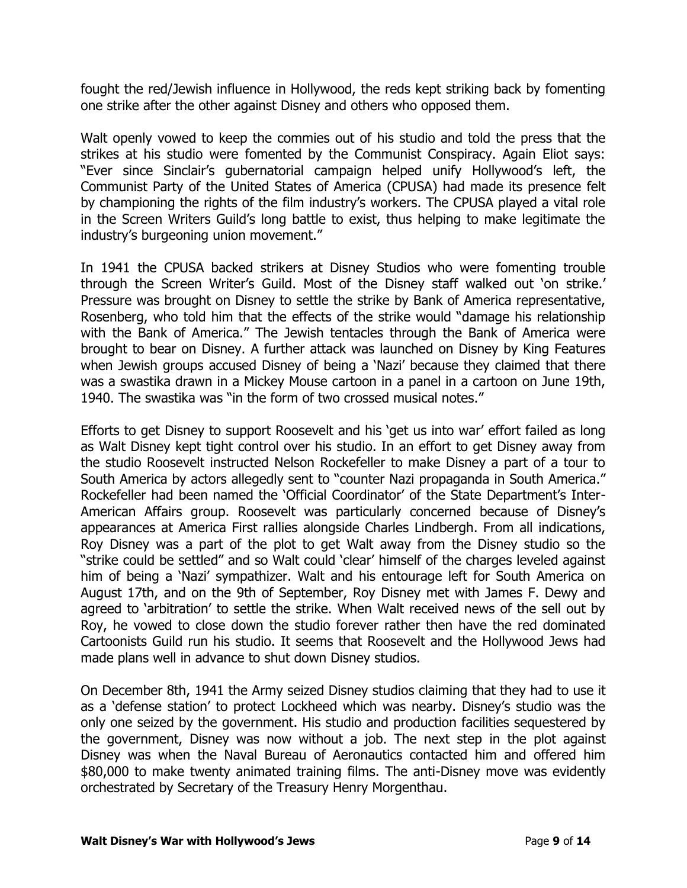fought the red/Jewish influence in Hollywood, the reds kept striking back by fomenting one strike after the other against Disney and others who opposed them.

Walt openly vowed to keep the commies out of his studio and told the press that the strikes at his studio were fomented by the Communist Conspiracy. Again Eliot says: "Ever since Sinclair's gubernatorial campaign helped unify Hollywood's left, the Communist Party of the United States of America (CPUSA) had made its presence felt by championing the rights of the film industry's workers. The CPUSA played a vital role in the Screen Writers Guild's long battle to exist, thus helping to make legitimate the industry's burgeoning union movement."

In 1941 the CPUSA backed strikers at Disney Studios who were fomenting trouble through the Screen Writer's Guild. Most of the Disney staff walked out 'on strike.' Pressure was brought on Disney to settle the strike by Bank of America representative, Rosenberg, who told him that the effects of the strike would "damage his relationship with the Bank of America." The Jewish tentacles through the Bank of America were brought to bear on Disney. A further attack was launched on Disney by King Features when Jewish groups accused Disney of being a 'Nazi' because they claimed that there was a swastika drawn in a Mickey Mouse cartoon in a panel in a cartoon on June 19th, 1940. The swastika was "in the form of two crossed musical notes."

Efforts to get Disney to support Roosevelt and his 'get us into war' effort failed as long as Walt Disney kept tight control over his studio. In an effort to get Disney away from the studio Roosevelt instructed Nelson Rockefeller to make Disney a part of a tour to South America by actors allegedly sent to "counter Nazi propaganda in South America." Rockefeller had been named the 'Official Coordinator' of the State Department's Inter-American Affairs group. Roosevelt was particularly concerned because of Disney's appearances at America First rallies alongside Charles Lindbergh. From all indications, Roy Disney was a part of the plot to get Walt away from the Disney studio so the "strike could be settled" and so Walt could 'clear' himself of the charges leveled against him of being a 'Nazi' sympathizer. Walt and his entourage left for South America on August 17th, and on the 9th of September, Roy Disney met with James F. Dewy and agreed to 'arbitration' to settle the strike. When Walt received news of the sell out by Roy, he vowed to close down the studio forever rather then have the red dominated Cartoonists Guild run his studio. It seems that Roosevelt and the Hollywood Jews had made plans well in advance to shut down Disney studios.

On December 8th, 1941 the Army seized Disney studios claiming that they had to use it as a 'defense station' to protect Lockheed which was nearby. Disney's studio was the only one seized by the government. His studio and production facilities sequestered by the government, Disney was now without a job. The next step in the plot against Disney was when the Naval Bureau of Aeronautics contacted him and offered him \$80,000 to make twenty animated training films. The anti-Disney move was evidently orchestrated by Secretary of the Treasury Henry Morgenthau.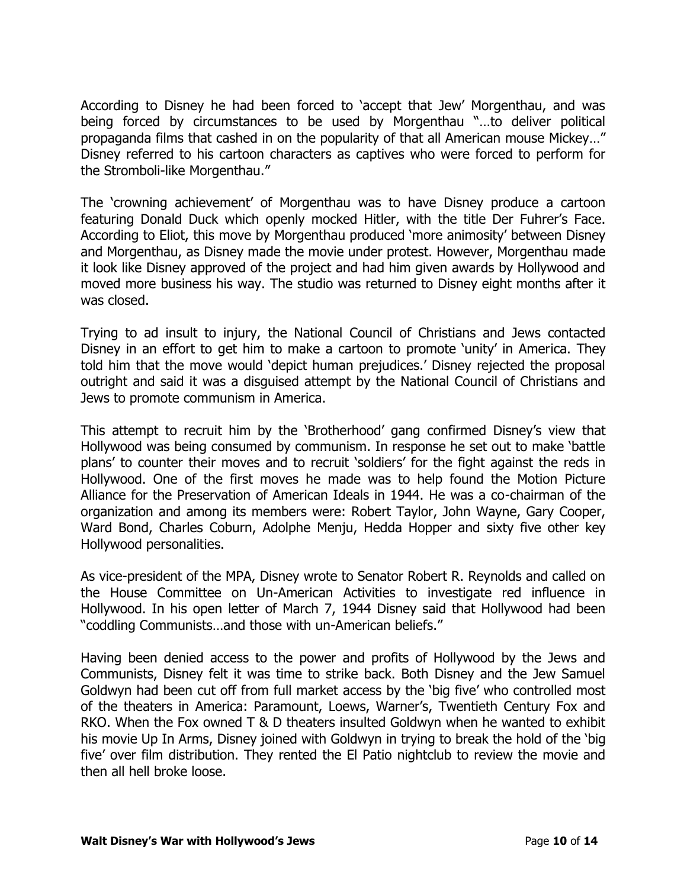According to Disney he had been forced to 'accept that Jew' Morgenthau, and was being forced by circumstances to be used by Morgenthau "…to deliver political propaganda films that cashed in on the popularity of that all American mouse Mickey…" Disney referred to his cartoon characters as captives who were forced to perform for the Stromboli-like Morgenthau."

The 'crowning achievement' of Morgenthau was to have Disney produce a cartoon featuring Donald Duck which openly mocked Hitler, with the title Der Fuhrer's Face. According to Eliot, this move by Morgenthau produced 'more animosity' between Disney and Morgenthau, as Disney made the movie under protest. However, Morgenthau made it look like Disney approved of the project and had him given awards by Hollywood and moved more business his way. The studio was returned to Disney eight months after it was closed.

Trying to ad insult to injury, the National Council of Christians and Jews contacted Disney in an effort to get him to make a cartoon to promote 'unity' in America. They told him that the move would 'depict human prejudices.' Disney rejected the proposal outright and said it was a disguised attempt by the National Council of Christians and Jews to promote communism in America.

This attempt to recruit him by the 'Brotherhood' gang confirmed Disney's view that Hollywood was being consumed by communism. In response he set out to make 'battle plans' to counter their moves and to recruit 'soldiers' for the fight against the reds in Hollywood. One of the first moves he made was to help found the Motion Picture Alliance for the Preservation of American Ideals in 1944. He was a co-chairman of the organization and among its members were: Robert Taylor, John Wayne, Gary Cooper, Ward Bond, Charles Coburn, Adolphe Menju, Hedda Hopper and sixty five other key Hollywood personalities.

As vice-president of the MPA, Disney wrote to Senator Robert R. Reynolds and called on the House Committee on Un-American Activities to investigate red influence in Hollywood. In his open letter of March 7, 1944 Disney said that Hollywood had been "coddling Communists…and those with un-American beliefs."

Having been denied access to the power and profits of Hollywood by the Jews and Communists, Disney felt it was time to strike back. Both Disney and the Jew Samuel Goldwyn had been cut off from full market access by the 'big five' who controlled most of the theaters in America: Paramount, Loews, Warner's, Twentieth Century Fox and RKO. When the Fox owned T & D theaters insulted Goldwyn when he wanted to exhibit his movie Up In Arms, Disney joined with Goldwyn in trying to break the hold of the 'big five' over film distribution. They rented the El Patio nightclub to review the movie and then all hell broke loose.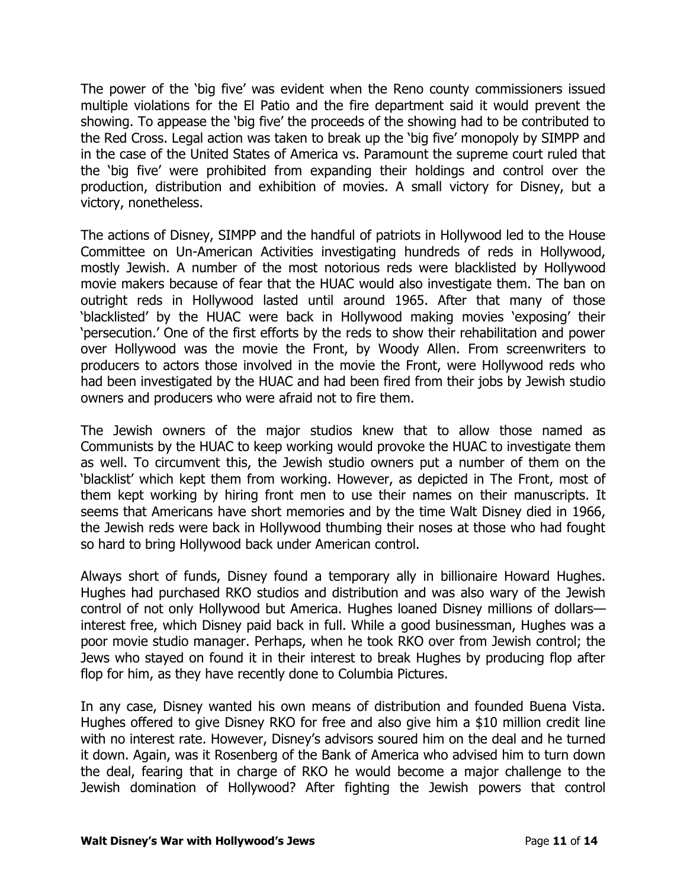The power of the 'big five' was evident when the Reno county commissioners issued multiple violations for the El Patio and the fire department said it would prevent the showing. To appease the 'big five' the proceeds of the showing had to be contributed to the Red Cross. Legal action was taken to break up the 'big five' monopoly by SIMPP and in the case of the United States of America vs. Paramount the supreme court ruled that the 'big five' were prohibited from expanding their holdings and control over the production, distribution and exhibition of movies. A small victory for Disney, but a victory, nonetheless.

The actions of Disney, SIMPP and the handful of patriots in Hollywood led to the House Committee on Un-American Activities investigating hundreds of reds in Hollywood, mostly Jewish. A number of the most notorious reds were blacklisted by Hollywood movie makers because of fear that the HUAC would also investigate them. The ban on outright reds in Hollywood lasted until around 1965. After that many of those 'blacklisted' by the HUAC were back in Hollywood making movies 'exposing' their 'persecution.' One of the first efforts by the reds to show their rehabilitation and power over Hollywood was the movie the Front, by Woody Allen. From screenwriters to producers to actors those involved in the movie the Front, were Hollywood reds who had been investigated by the HUAC and had been fired from their jobs by Jewish studio owners and producers who were afraid not to fire them.

The Jewish owners of the major studios knew that to allow those named as Communists by the HUAC to keep working would provoke the HUAC to investigate them as well. To circumvent this, the Jewish studio owners put a number of them on the 'blacklist' which kept them from working. However, as depicted in The Front, most of them kept working by hiring front men to use their names on their manuscripts. It seems that Americans have short memories and by the time Walt Disney died in 1966, the Jewish reds were back in Hollywood thumbing their noses at those who had fought so hard to bring Hollywood back under American control.

Always short of funds, Disney found a temporary ally in billionaire Howard Hughes. Hughes had purchased RKO studios and distribution and was also wary of the Jewish control of not only Hollywood but America. Hughes loaned Disney millions of dollars interest free, which Disney paid back in full. While a good businessman, Hughes was a poor movie studio manager. Perhaps, when he took RKO over from Jewish control; the Jews who stayed on found it in their interest to break Hughes by producing flop after flop for him, as they have recently done to Columbia Pictures.

In any case, Disney wanted his own means of distribution and founded Buena Vista. Hughes offered to give Disney RKO for free and also give him a \$10 million credit line with no interest rate. However, Disney's advisors soured him on the deal and he turned it down. Again, was it Rosenberg of the Bank of America who advised him to turn down the deal, fearing that in charge of RKO he would become a major challenge to the Jewish domination of Hollywood? After fighting the Jewish powers that control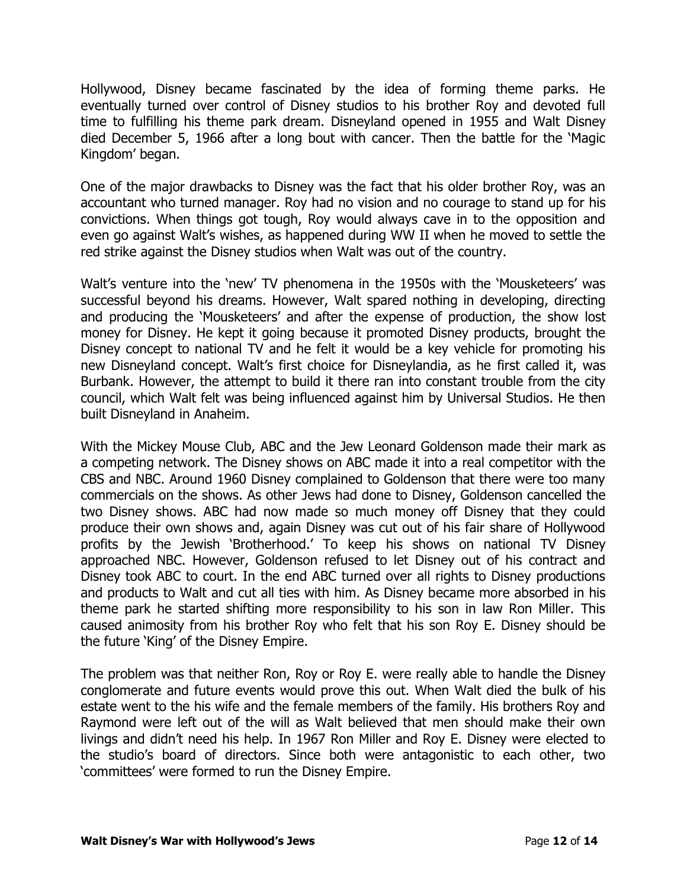Hollywood, Disney became fascinated by the idea of forming theme parks. He eventually turned over control of Disney studios to his brother Roy and devoted full time to fulfilling his theme park dream. Disneyland opened in 1955 and Walt Disney died December 5, 1966 after a long bout with cancer. Then the battle for the 'Magic Kingdom' began.

One of the major drawbacks to Disney was the fact that his older brother Roy, was an accountant who turned manager. Roy had no vision and no courage to stand up for his convictions. When things got tough, Roy would always cave in to the opposition and even go against Walt's wishes, as happened during WW II when he moved to settle the red strike against the Disney studios when Walt was out of the country.

Walt's venture into the 'new' TV phenomena in the 1950s with the 'Mousketeers' was successful beyond his dreams. However, Walt spared nothing in developing, directing and producing the 'Mousketeers' and after the expense of production, the show lost money for Disney. He kept it going because it promoted Disney products, brought the Disney concept to national TV and he felt it would be a key vehicle for promoting his new Disneyland concept. Walt's first choice for Disneylandia, as he first called it, was Burbank. However, the attempt to build it there ran into constant trouble from the city council, which Walt felt was being influenced against him by Universal Studios. He then built Disneyland in Anaheim.

With the Mickey Mouse Club, ABC and the Jew Leonard Goldenson made their mark as a competing network. The Disney shows on ABC made it into a real competitor with the CBS and NBC. Around 1960 Disney complained to Goldenson that there were too many commercials on the shows. As other Jews had done to Disney, Goldenson cancelled the two Disney shows. ABC had now made so much money off Disney that they could produce their own shows and, again Disney was cut out of his fair share of Hollywood profits by the Jewish 'Brotherhood.' To keep his shows on national TV Disney approached NBC. However, Goldenson refused to let Disney out of his contract and Disney took ABC to court. In the end ABC turned over all rights to Disney productions and products to Walt and cut all ties with him. As Disney became more absorbed in his theme park he started shifting more responsibility to his son in law Ron Miller. This caused animosity from his brother Roy who felt that his son Roy E. Disney should be the future 'King' of the Disney Empire.

The problem was that neither Ron, Roy or Roy E. were really able to handle the Disney conglomerate and future events would prove this out. When Walt died the bulk of his estate went to the his wife and the female members of the family. His brothers Roy and Raymond were left out of the will as Walt believed that men should make their own livings and didn't need his help. In 1967 Ron Miller and Roy E. Disney were elected to the studio's board of directors. Since both were antagonistic to each other, two 'committees' were formed to run the Disney Empire.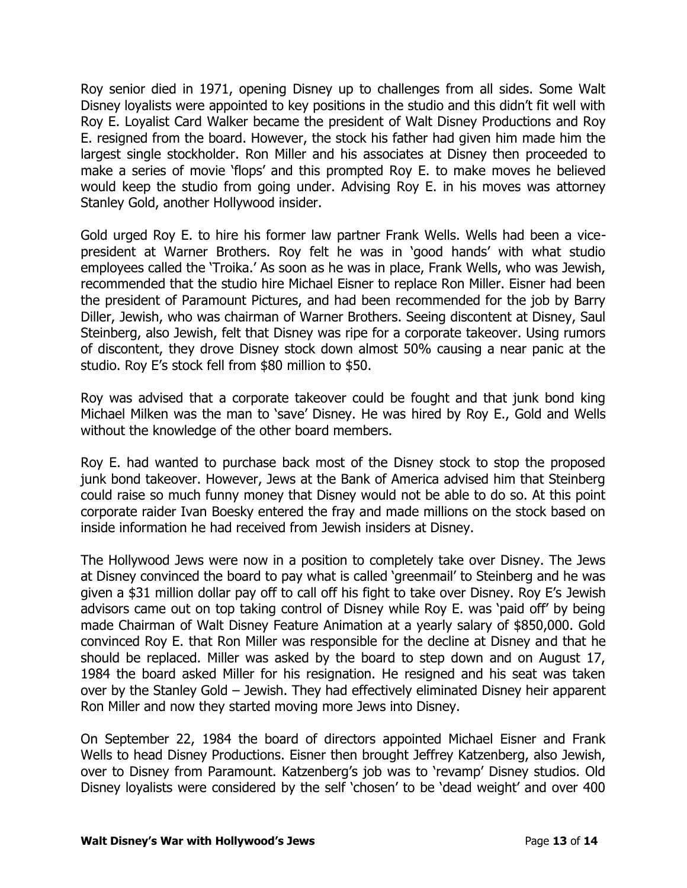Roy senior died in 1971, opening Disney up to challenges from all sides. Some Walt Disney loyalists were appointed to key positions in the studio and this didn't fit well with Roy E. Loyalist Card Walker became the president of Walt Disney Productions and Roy E. resigned from the board. However, the stock his father had given him made him the largest single stockholder. Ron Miller and his associates at Disney then proceeded to make a series of movie 'flops' and this prompted Roy E. to make moves he believed would keep the studio from going under. Advising Roy E. in his moves was attorney Stanley Gold, another Hollywood insider.

Gold urged Roy E. to hire his former law partner Frank Wells. Wells had been a vicepresident at Warner Brothers. Roy felt he was in 'good hands' with what studio employees called the 'Troika.' As soon as he was in place, Frank Wells, who was Jewish, recommended that the studio hire Michael Eisner to replace Ron Miller. Eisner had been the president of Paramount Pictures, and had been recommended for the job by Barry Diller, Jewish, who was chairman of Warner Brothers. Seeing discontent at Disney, Saul Steinberg, also Jewish, felt that Disney was ripe for a corporate takeover. Using rumors of discontent, they drove Disney stock down almost 50% causing a near panic at the studio. Roy E's stock fell from \$80 million to \$50.

Roy was advised that a corporate takeover could be fought and that junk bond king Michael Milken was the man to 'save' Disney. He was hired by Roy E., Gold and Wells without the knowledge of the other board members.

Roy E. had wanted to purchase back most of the Disney stock to stop the proposed junk bond takeover. However, Jews at the Bank of America advised him that Steinberg could raise so much funny money that Disney would not be able to do so. At this point corporate raider Ivan Boesky entered the fray and made millions on the stock based on inside information he had received from Jewish insiders at Disney.

The Hollywood Jews were now in a position to completely take over Disney. The Jews at Disney convinced the board to pay what is called 'greenmail' to Steinberg and he was given a \$31 million dollar pay off to call off his fight to take over Disney. Roy E's Jewish advisors came out on top taking control of Disney while Roy E. was 'paid off' by being made Chairman of Walt Disney Feature Animation at a yearly salary of \$850,000. Gold convinced Roy E. that Ron Miller was responsible for the decline at Disney and that he should be replaced. Miller was asked by the board to step down and on August 17, 1984 the board asked Miller for his resignation. He resigned and his seat was taken over by the Stanley Gold – Jewish. They had effectively eliminated Disney heir apparent Ron Miller and now they started moving more Jews into Disney.

On September 22, 1984 the board of directors appointed Michael Eisner and Frank Wells to head Disney Productions. Eisner then brought Jeffrey Katzenberg, also Jewish, over to Disney from Paramount. Katzenberg's job was to 'revamp' Disney studios. Old Disney loyalists were considered by the self 'chosen' to be 'dead weight' and over 400